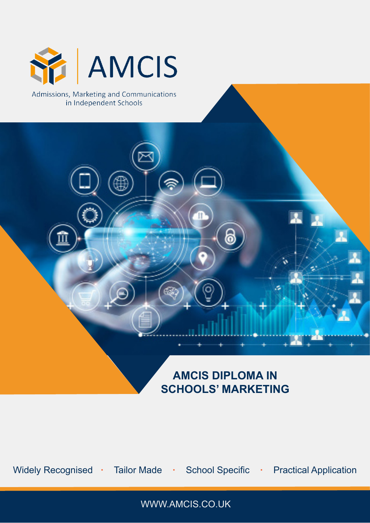

# **AMCIS DIPLOMA IN SCHOOLS' MARKETING**

Widely Recognised **· Tailor Made · School Specific · Practical Application** 

WWW.AMCIS.CO.UK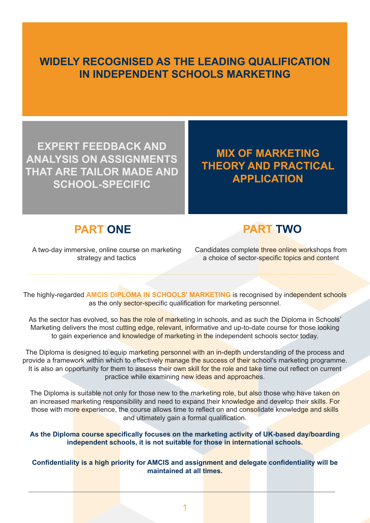### **WIDELY RECOGNISED AS THE LEADING QUALIFICATION IN INDEPENDENT SCHOOLS MARKETING**

**EXPERT FEEDBACK AND ANALYSIS ON ASSIGNMENTS THAT ARE TAILOR MADE AND SCHOOL-SPECIFIC**

## **MIX OF MARKETING THEORY AND PRACTICAL APPLICATION**

#### **PART ONE**



A two-day immersive, online course on marketing strategy and tactics

Candidates complete three online workshops from a choice of sector-specific topics and content

The highly-regarded **AMCIS DIPLOMA IN SCHOOLS' MARKETING** is recognised by independent schools as the only sector-specific qualification for marketing personnel.

As the sector has evolved, so has the role of marketing in schools, and as such the Diploma in Schools' Marketing delivers the most cutting edge, relevant, informative and up-to-date course for those looking to gain experience and knowledge of marketing in the independent schools sector today.

The Diploma is designed to equip marketing personnel with an in-depth understanding of the process and provide a framework within which to effectively manage the success of their school's marketing programme. It is also an opportunity for them to assess their own skill for the role and take time out reflect on current practice while examining new ideas and approaches.

The Diploma is suitable not only for those new to the marketing role, but also those who have taken on an increased marketing responsibility and need to expand their knowledge and develop their skills. For those with more experience, the course allows time to reflect on and consolidate knowledge and skills and ultimately gain a formal qualification.

**As the Diploma course specifically focuses on the marketing activity of UK-based day/boarding independent schools, it is not suitable for those in international schools.**

**Confidentiality is a high priority for AMCIS and assignment and delegate confidentiality will be maintained at all times.**

1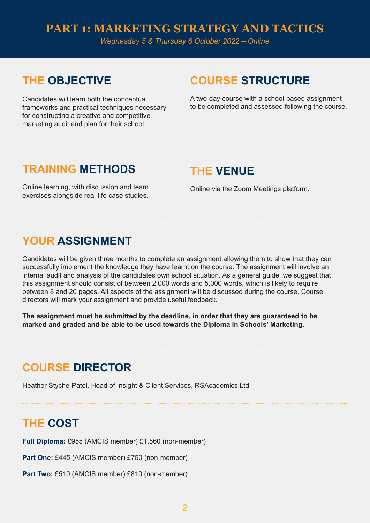#### **PART 1: MARKETING STRATEGY AND TACTICS**

*Wednesday 5 & Thursday 6 October 2022 – Online*

## **THE OBJECTIVE**

Candidates will learn both the conceptual frameworks and practical techniques necessary for constructing a creative and competitive marketing audit and plan for their school.

## **COURSE STRUCTURE**

A two-day course with a school-based assignment to be completed and assessed following the course.

### **TRAINING METHODS**

Online learning, with discussion and team exercises alongside real-life case studies.

#### **THE VENUE**

Online via the Zoom Meetings platform.

## **YOUR ASSIGNMENT**

Candidates will be given three months to complete an assignment allowing them to show that they can successfully implement the knowledge they have learnt on the course. The assignment will involve an internal audit and analysis of the candidates own school situation. As a general guide, we suggest that this assignment should consist of between 2,000 words and 5,000 words, which is likely to require between 8 and 20 pages. All aspects of the assignment will be discussed during the course. Course directors will mark your assignment and provide useful feedback.

**The assignment must be submitted by the deadline, in order that they are guaranteed to be marked and graded and be able to be used towards the Diploma in Schools' Marketing.**

## **COURSE DIRECTOR**

Heather Styche-Patel, Head of Insight & Client Services, RSAcademics Ltd

## **THE COST**

**Full Diploma:** £955 (AMCIS member) £1,560 (non-member)

**Part One:** £445 (AMCIS member) £750 (non-member)

Part Two: £510 (AMCIS member) £810 (non-member)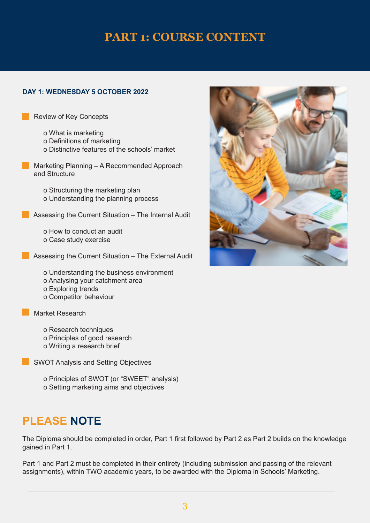### **PART 1: COURSE CONTENT**

#### **DAY 1: WEDNESDAY 5 OCTOBER 2022**

Review of Key Concepts

- o What is marketing
- o Definitions of marketing
- o Distinctive features of the schools' market
- **Marketing Planning A Recommended Approach**  and Structure
	- o Structuring the marketing plan o Understanding the planning process
- **Assessing the Current Situation The Internal Audit** 
	- o How to conduct an audit
	- o Case study exercise
- Assessing the Current Situation The External Audit
	- o Understanding the business environment
	- o Analysing your catchment area
	- o Exploring trends
	- o Competitor behaviour

Market Research

- o Research techniques
- o Principles of good research
- o Writing a research brief

SWOT Analysis and Setting Objectives

- o Principles of SWOT (or "SWEET" analysis)
- o Setting marketing aims and objectives

## **PLEASE NOTE**

The Diploma should be completed in order, Part 1 first followed by Part 2 as Part 2 builds on the knowledge gained in Part 1.

Part 1 and Part 2 must be completed in their entirety (including submission and passing of the relevant assignments), within TWO academic years, to be awarded with the Diploma in Schools' Marketing.

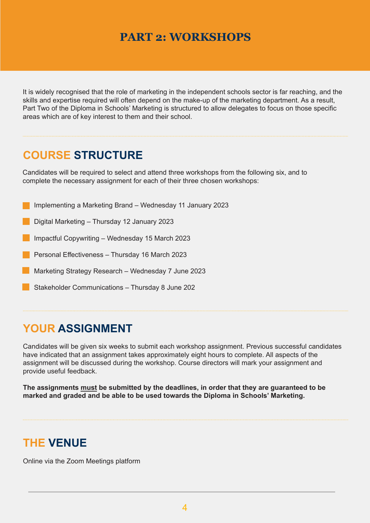## **PART 2: WORKSHOPS**

It is widely recognised that the role of marketing in the independent schools sector is far reaching, and the skills and expertise required will often depend on the make-up of the marketing department. As a result, Part Two of the Diploma in Schools' Marketing is structured to allow delegates to focus on those specific areas which are of key interest to them and their school.

## **COURSE STRUCTURE**

Candidates will be required to select and attend three workshops from the following six, and to complete the necessary assignment for each of their three chosen workshops:

- Implementing a Marketing Brand Wednesday 11 January 2023
- Digital Marketing Thursday 12 January 2023
- Impactful Copywriting Wednesday 15 March 2023
- Personal Effectiveness Thursday 16 March 2023
- Marketing Strategy Research Wednesday 7 June 2023
- Stakeholder Communications Thursday 8 June 202

## **YOUR ASSIGNMENT**

Candidates will be given six weeks to submit each workshop assignment. Previous successful candidates have indicated that an assignment takes approximately eight hours to complete. All aspects of the assignment will be discussed during the workshop. Course directors will mark your assignment and provide useful feedback.

**The assignments must be submitted by the deadlines, in order that they are guaranteed to be marked and graded and be able to be used towards the Diploma in Schools' Marketing.**

## **THE VENUE**

Online via the Zoom Meetings platform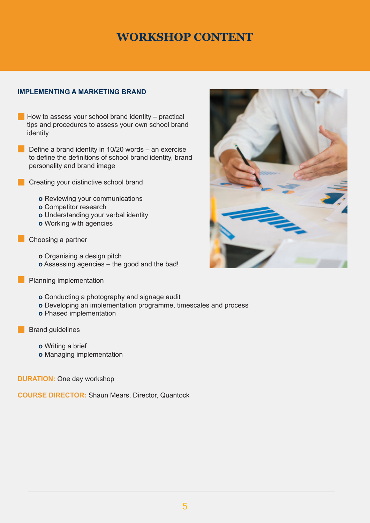#### **IMPLEMENTING A MARKETING BRAND**

- $\blacksquare$  How to assess your school brand identity practical tips and procedures to assess your own school brand identity
- Define a brand identity in 10/20 words an exercise to define the definitions of school brand identity, brand personality and brand image
- **Creating your distinctive school brand** 
	- **o** Reviewing your communications
	- **o** Competitor research
	- **o** Understanding your verbal identity
	- **o** Working with agencies
- Choosing a partner
	- **o** Organising a design pitch
	- **o** Assessing agencies the good and the bad!
	- Planning implementation
		- **o** Conducting a photography and signage audit
		- **o** Developing an implementation programme, timescales and process
		- **o** Phased implementation
- **Brand quidelines** 
	- **o** Writing a brief
	- **o** Managing implementation

**DURATION:** One day workshop

**COURSE DIRECTOR:** Shaun Mears, Director, Quantock

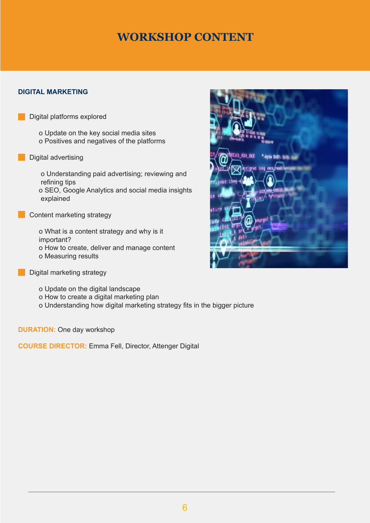#### **DIGITAL MARKETING**

Digital platforms explored

o Update on the key social media sites o Positives and negatives of the platforms

Digital advertising

o Understanding paid advertising; reviewing and refining tips o SEO, Google Analytics and social media insights explained

**Content marketing strategy** 

o What is a content strategy and why is it important? o How to create, deliver and manage content o Measuring results

**Digital marketing strategy** 

o Update on the digital landscape

o How to create a digital marketing plan

o Understanding how digital marketing strategy fits in the bigger picture

**DURATION:** One day workshop

**COURSE DIRECTOR:** Emma Fell, Director, Attenger Digital

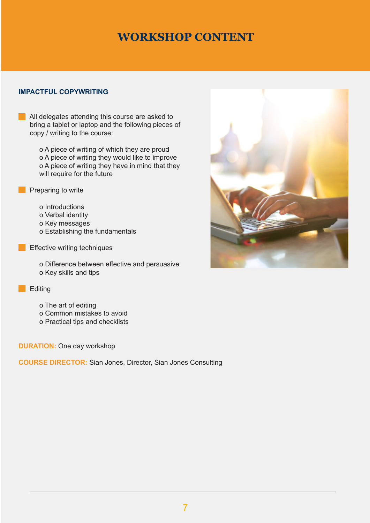#### **IMPACTFUL COPYWRITING**

All delegates attending this course are asked to bring a tablet or laptop and the following pieces of copy / writing to the course:

> o A piece of writing of which they are proud o A piece of writing they would like to improve o A piece of writing they have in mind that they will require for the future



- $\blacksquare$  Preparing to write
	- o Introductions
	- o Verbal identity
	- o Key messages
	- o Establishing the fundamentals
- **Effective writing techniques** 
	- o Difference between effective and persuasive o Key skills and tips

#### **Editing**

- o The art of editing
- o Common mistakes to avoid
- o Practical tips and checklists

#### **DURATION:** One day workshop

**COURSE DIRECTOR:** Sian Jones, Director, Sian Jones Consulting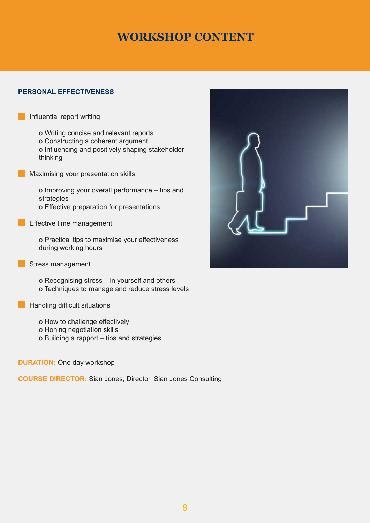#### **PERSONAL EFFECTIVENESS**

Influential report writing

o Writing concise and relevant reports

- o Constructing a coherent argument
- o Influencing and positively shaping stakeholder thinking
- Maximising your presentation skills

o Improving your overall performance – tips and strategies o Effective preparation for presentations

**Effective time management** 

o Practical tips to maximise your effectiveness during working hours

Stress management

o Recognising stress – in yourself and others o Techniques to manage and reduce stress levels

**Handling difficult situations** 

- o How to challenge effectively
- o Honing negotiation skills
- o Building a rapport tips and strategies

**DURATION:** One day workshop

**COURSE DIRECTOR:** Sian Jones, Director, Sian Jones Consulting

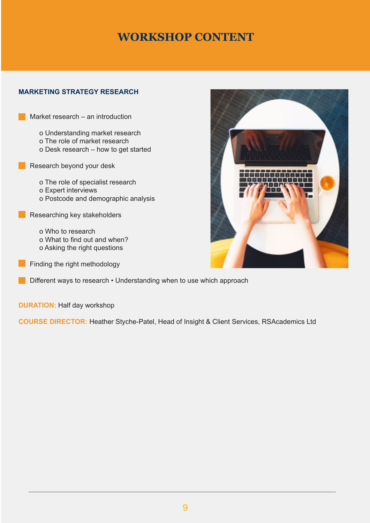#### **MARKETING STRATEGY RESEARCH**

Market research – an introduction

o Understanding market research o The role of market research o Desk research – how to get started

Research beyond your desk

o The role of specialist research o Expert interviews o Postcode and demographic analysis

Researching key stakeholders

o Who to research o What to find out and when? o Asking the right questions

**Finding the right methodology** 

**Different ways to research • Understanding when to use which approach** 

**DURATION:** Half day workshop

**COURSE DIRECTOR:** Heather Styche-Patel, Head of Insight & Client Services, RSAcademics Ltd

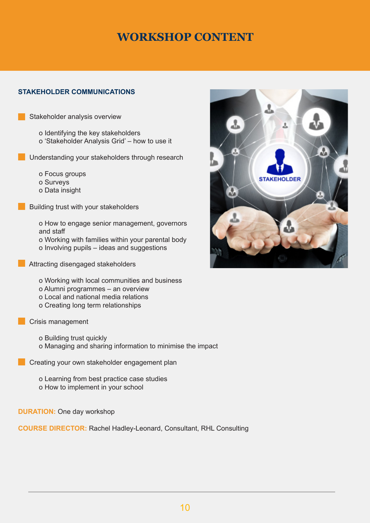#### **STAKEHOLDER COMMUNICATIONS**

Stakeholder analysis overview

- o Identifying the key stakeholders o 'Stakeholder Analysis Grid' – how to use it
- Understanding your stakeholders through research
	- o Focus groups
	- o Surveys
	- o Data insight
	- Building trust with your stakeholders

o How to engage senior management, governors and staff o Working with families within your parental body o Involving pupils – ideas and suggestions

- **Attracting disengaged stakeholders** 
	- o Working with local communities and business o Alumni programmes – an overview o Local and national media relations
	- o Creating long term relationships
- **Crisis management** 
	- o Building trust quickly o Managing and sharing information to minimise the impact
	- Creating your own stakeholder engagement plan

o Learning from best practice case studies o How to implement in your school

**DURATION:** One day workshop

**COURSE DIRECTOR:** Rachel Hadley-Leonard, Consultant, RHL Consulting